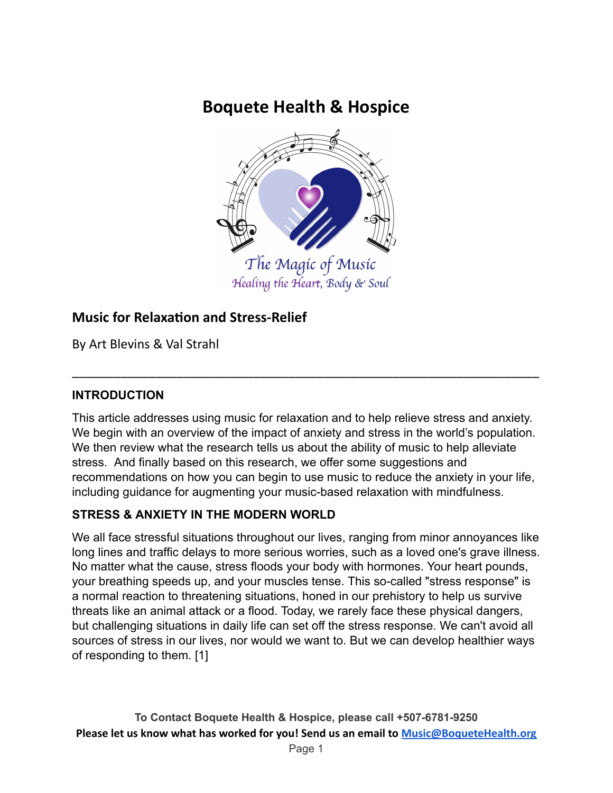# **Boquete Health & Hospice**



# **Music for Relaxation and Stress-Relief**

By Art Blevins & Val Strahl

#### **INTRODUCTION**

This article addresses using music for relaxation and to help relieve stress and anxiety. We begin with an overview of the impact of anxiety and stress in the world's population. We then review what the research tells us about the ability of music to help alleviate stress. And finally based on this research, we offer some suggestions and recommendations on how you can begin to use music to reduce the anxiety in your life, including guidance for augmenting your music-based relaxation with mindfulness.

\_\_\_\_\_\_\_\_\_\_\_\_\_\_\_\_\_\_\_\_\_\_\_\_\_\_\_\_\_\_\_\_\_\_\_\_\_\_\_\_\_\_\_\_\_\_\_\_\_\_\_\_\_\_\_\_\_\_\_\_\_\_\_\_\_\_\_

#### **STRESS & ANXIETY IN THE MODERN WORLD**

We all face stressful situations throughout our lives, ranging from minor annoyances like long lines and traffic delays to more serious worries, such as a loved one's grave illness. No matter what the cause, stress floods your body with hormones. Your heart pounds, your breathing speeds up, and your muscles tense. This so-called "stress response" is a normal reaction to threatening situations, honed in our prehistory to help us survive threats like an animal attack or a flood. Today, we rarely face these physical dangers, but challenging situations in daily life can set off the stress response. We can't avoid all sources of stress in our lives, nor would we want to. But we can develop healthier ways of responding to them. [1]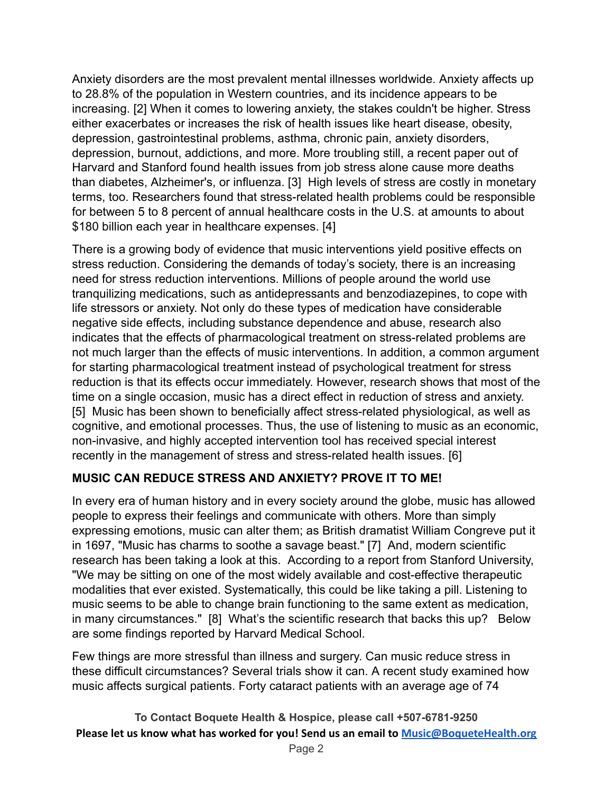Anxiety disorders are the most prevalent mental illnesses worldwide. Anxiety affects up to 28.8% of the population in Western countries, and its incidence appears to be increasing. [2] When it comes to lowering anxiety, the stakes couldn't be higher. Stress either exacerbates or increases the risk of health issues like heart disease, obesity, depression, gastrointestinal problems, asthma, chronic pain, anxiety disorders, depression, burnout, addictions, and more. More troubling still, a recent paper out of Harvard and Stanford found health issues from job stress alone cause more deaths than diabetes, Alzheimer's, or influenza. [3] High levels of stress are costly in monetary terms, too. Researchers found that stress-related health problems could be responsible for between 5 to 8 percent of annual healthcare costs in the U.S. at amounts to about \$180 billion each year in healthcare expenses. [4]

There is a growing body of evidence that music interventions yield positive effects on stress reduction. Considering the demands of today's society, there is an increasing need for stress reduction interventions. Millions of people around the world use tranquilizing medications, such as antidepressants and benzodiazepines, to cope with life stressors or anxiety. Not only do these types of medication have considerable negative side effects, including substance dependence and abuse, research also indicates that the effects of pharmacological treatment on stress-related problems are not much larger than the effects of music interventions. In addition, a common argument for starting pharmacological treatment instead of psychological treatment for stress reduction is that its effects occur immediately. However, research shows that most of the time on a single occasion, music has a direct effect in reduction of stress and anxiety. [5] Music has been shown to beneficially affect stress-related physiological, as well as cognitive, and emotional processes. Thus, the use of listening to music as an economic, non-invasive, and highly accepted intervention tool has received special interest recently in the management of stress and stress-related health issues. [6]

#### **MUSIC CAN REDUCE STRESS AND ANXIETY? PROVE IT TO ME!**

In every era of human history and in every society around the globe, music has allowed people to express their feelings and communicate with others. More than simply expressing emotions, music can alter them; as British dramatist William Congreve put it in 1697, "Music has charms to soothe a savage beast." [7] And, modern scientific research has been taking a look at this. According to a report from Stanford University, "We may be sitting on one of the most widely available and cost-effective therapeutic modalities that ever existed. Systematically, this could be like taking a pill. Listening to music seems to be able to change brain functioning to the same extent as medication, in many circumstances." [8] What's the scientific research that backs this up? Below are some findings reported by Harvard Medical School.

Few things are more stressful than illness and surgery. Can music reduce stress in these difficult circumstances? Several trials show it can. A recent study examined how music affects surgical patients. Forty cataract patients with an average age of 74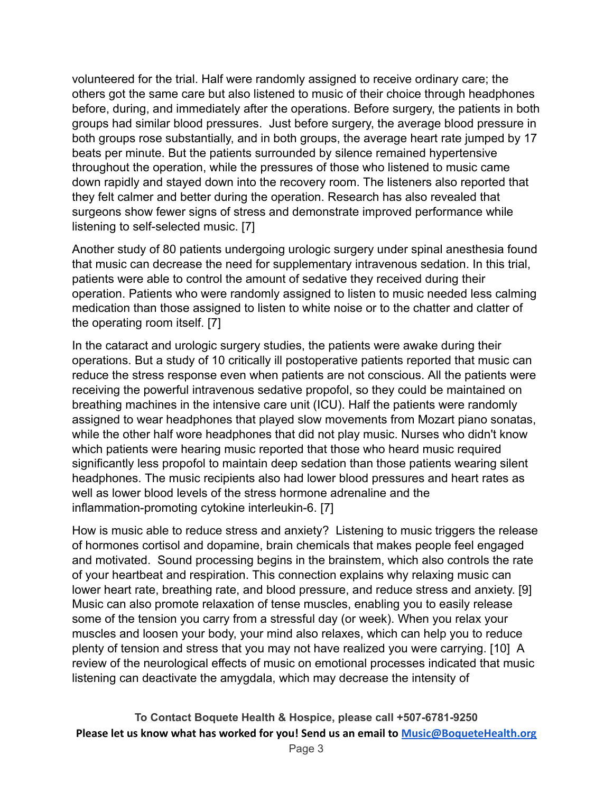volunteered for the trial. Half were randomly assigned to receive ordinary care; the others got the same care but also listened to music of their choice through headphones before, during, and immediately after the operations. Before surgery, the patients in both groups had similar blood pressures. Just before surgery, the average blood pressure in both groups rose substantially, and in both groups, the average heart rate jumped by 17 beats per minute. But the patients surrounded by silence remained hypertensive throughout the operation, while the pressures of those who listened to music came down rapidly and stayed down into the recovery room. The listeners also reported that they felt calmer and better during the operation. Research has also revealed that surgeons show fewer signs of stress and demonstrate improved performance while listening to self-selected music. [7]

Another study of 80 patients undergoing urologic surgery under spinal anesthesia found that music can decrease the need for supplementary intravenous sedation. In this trial, patients were able to control the amount of sedative they received during their operation. Patients who were randomly assigned to listen to music needed less calming medication than those assigned to listen to white noise or to the chatter and clatter of the operating room itself. [7]

In the cataract and urologic surgery studies, the patients were awake during their operations. But a study of 10 critically ill postoperative patients reported that music can reduce the stress response even when patients are not conscious. All the patients were receiving the powerful intravenous sedative propofol, so they could be maintained on breathing machines in the intensive care unit (ICU). Half the patients were randomly assigned to wear headphones that played slow movements from Mozart piano sonatas, while the other half wore headphones that did not play music. Nurses who didn't know which patients were hearing music reported that those who heard music required significantly less propofol to maintain deep sedation than those patients wearing silent headphones. The music recipients also had lower blood pressures and heart rates as well as lower blood levels of the stress hormone adrenaline and the inflammation-promoting cytokine interleukin-6. [7]

How is music able to reduce stress and anxiety? Listening to music triggers the release of hormones cortisol and dopamine, brain chemicals that makes people feel engaged and motivated. Sound processing begins in the brainstem, which also controls the rate of your heartbeat and respiration. This connection explains why relaxing music can lower heart rate, breathing rate, and blood pressure, and reduce stress and anxiety. [9] Music can also promote relaxation of tense muscles, enabling you to easily release some of the tension you carry from a stressful day (or week). When you relax your muscles and loosen your body, your mind also relaxes, which can help you to reduce plenty of tension and stress that you may not have realized you were carrying. [10] A review of the neurological effects of music on emotional processes indicated that music listening can deactivate the amygdala, which may decrease the intensity of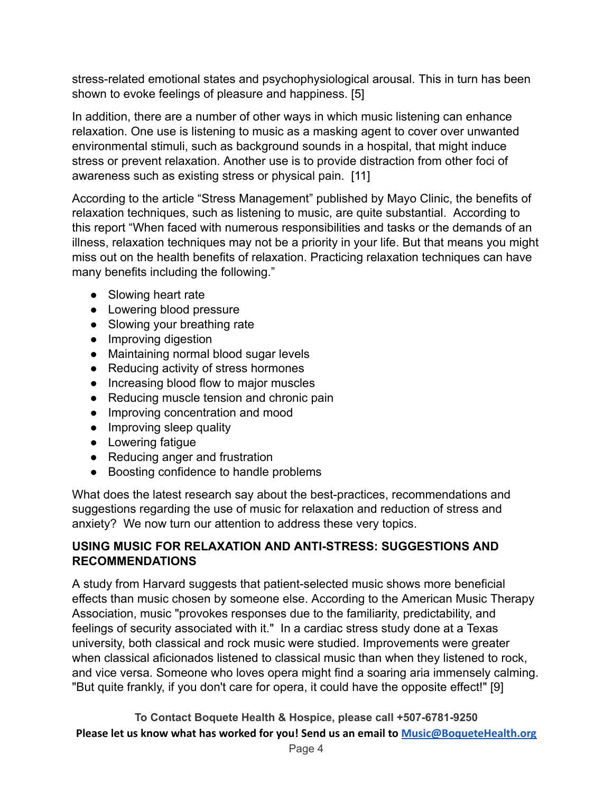stress-related emotional states and psychophysiological arousal. This in turn has been shown to evoke feelings of pleasure and happiness. [5]

In addition, there are a number of other ways in which music listening can enhance relaxation. One use is listening to music as a masking agent to cover over unwanted environmental stimuli, such as background sounds in a hospital, that might induce stress or prevent relaxation. Another use is to provide distraction from other foci of awareness such as existing stress or physical pain. [11]

According to the article "Stress Management" published by Mayo Clinic, the benefits of relaxation techniques, such as listening to music, are quite substantial. According to this report "When faced with numerous responsibilities and tasks or the demands of an illness, relaxation techniques may not be a priority in your life. But that means you might miss out on the health benefits of relaxation. Practicing relaxation techniques can have many benefits including the following."

- Slowing heart rate
- Lowering blood pressure
- Slowing your breathing rate
- Improving digestion
- Maintaining normal blood sugar levels
- Reducing activity of stress hormones
- Increasing blood flow to major muscles
- Reducing muscle tension and chronic pain
- Improving concentration and mood
- Improving sleep quality
- Lowering fatigue
- Reducing anger and frustration
- Boosting confidence to handle problems

What does the latest research say about the best-practices, recommendations and suggestions regarding the use of music for relaxation and reduction of stress and anxiety? We now turn our attention to address these very topics.

#### **USING MUSIC FOR RELAXATION AND ANTI-STRESS: SUGGESTIONS AND RECOMMENDATIONS**

A study from Harvard suggests that patient-selected music shows more beneficial effects than music chosen by someone else. According to the American Music Therapy Association, music "provokes responses due to the familiarity, predictability, and feelings of security associated with it." In a cardiac stress study done at a Texas university, both classical and rock music were studied. Improvements were greater when classical aficionados listened to classical music than when they listened to rock, and vice versa. Someone who loves opera might find a soaring aria immensely calming. "But quite frankly, if you don't care for opera, it could have the opposite effect!" [9]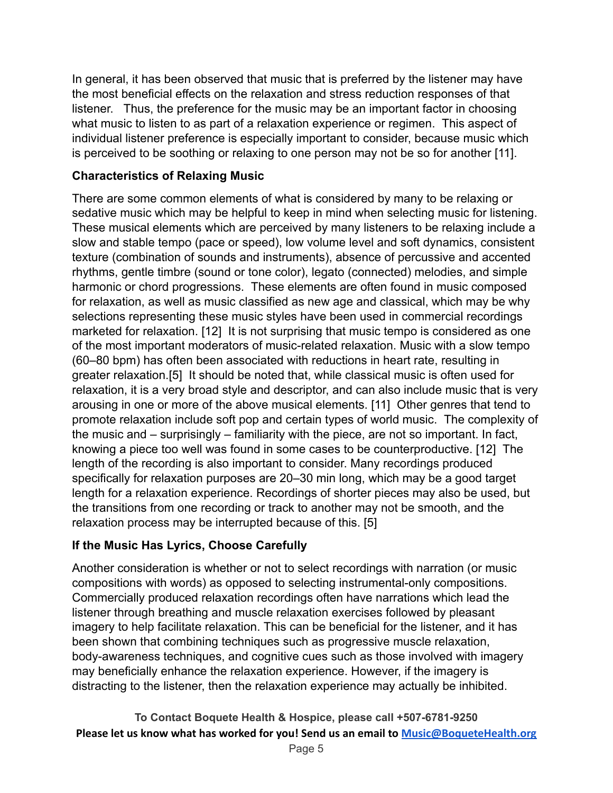In general, it has been observed that music that is preferred by the listener may have the most beneficial effects on the relaxation and stress reduction responses of that listener. Thus, the preference for the music may be an important factor in choosing what music to listen to as part of a relaxation experience or regimen. This aspect of individual listener preference is especially important to consider, because music which is perceived to be soothing or relaxing to one person may not be so for another [11].

#### **Characteristics of Relaxing Music**

There are some common elements of what is considered by many to be relaxing or sedative music which may be helpful to keep in mind when selecting music for listening. These musical elements which are perceived by many listeners to be relaxing include a slow and stable tempo (pace or speed), low volume level and soft dynamics, consistent texture (combination of sounds and instruments), absence of percussive and accented rhythms, gentle timbre (sound or tone color), legato (connected) melodies, and simple harmonic or chord progressions. These elements are often found in music composed for relaxation, as well as music classified as new age and classical, which may be why selections representing these music styles have been used in commercial recordings marketed for relaxation. [12] It is not surprising that music tempo is considered as one of the most important moderators of music-related relaxation. Music with a slow tempo (60–80 bpm) has often been associated with reductions in heart rate, resulting in greater relaxation.[5] It should be noted that, while classical music is often used for relaxation, it is a very broad style and descriptor, and can also include music that is very arousing in one or more of the above musical elements. [11] Other genres that tend to promote relaxation include soft pop and certain types of world music. The complexity of the music and – surprisingly – familiarity with the piece, are not so important. In fact, knowing a piece too well was found in some cases to be counterproductive. [12] The length of the recording is also important to consider. Many recordings produced specifically for relaxation purposes are 20–30 min long, which may be a good target length for a relaxation experience. Recordings of shorter pieces may also be used, but the transitions from one recording or track to another may not be smooth, and the relaxation process may be interrupted because of this. [5]

#### **If the Music Has Lyrics, Choose Carefully**

Another consideration is whether or not to select recordings with narration (or music compositions with words) as opposed to selecting instrumental-only compositions. Commercially produced relaxation recordings often have narrations which lead the listener through breathing and muscle relaxation exercises followed by pleasant imagery to help facilitate relaxation. This can be beneficial for the listener, and it has been shown that combining techniques such as progressive muscle relaxation, body-awareness techniques, and cognitive cues such as those involved with imagery may beneficially enhance the relaxation experience. However, if the imagery is distracting to the listener, then the relaxation experience may actually be inhibited.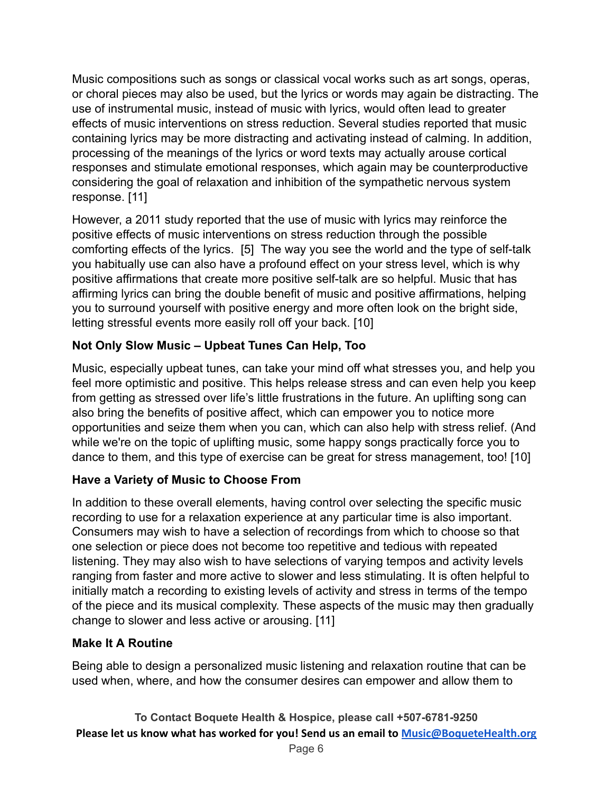Music compositions such as songs or classical vocal works such as art songs, operas, or choral pieces may also be used, but the lyrics or words may again be distracting. The use of instrumental music, instead of music with lyrics, would often lead to greater effects of music interventions on stress reduction. Several studies reported that music containing lyrics may be more distracting and activating instead of calming. In addition, processing of the meanings of the lyrics or word texts may actually arouse cortical responses and stimulate emotional responses, which again may be counterproductive considering the goal of relaxation and inhibition of the sympathetic nervous system response. [11]

However, a 2011 study reported that the use of music with lyrics may reinforce the positive effects of music interventions on stress reduction through the possible comforting effects of the lyrics. [5] The way you see the world and the type of self-talk you habitually use can also have a profound effect on your stress level, which is why positive affirmations that create more positive self-talk are so helpful. Music that has affirming lyrics can bring the double benefit of music and positive affirmations, helping you to surround yourself with positive energy and more often look on the bright side, letting stressful events more easily roll off your back. [10]

## **Not Only Slow Music – Upbeat Tunes Can Help, Too**

Music, especially upbeat tunes, can take your mind off what stresses you, and help you feel more optimistic and positive. This helps release stress and can even help you keep from getting as stressed over life's little frustrations in the future. An uplifting song can also bring the benefits of positive affect, which can empower you to notice more opportunities and seize them when you can, which can also help with stress relief. (And while we're on the topic of uplifting music, some happy songs practically force you to dance to them, and this type of exercise can be great for stress management, too! [10]

#### **Have a Variety of Music to Choose From**

In addition to these overall elements, having control over selecting the specific music recording to use for a relaxation experience at any particular time is also important. Consumers may wish to have a selection of recordings from which to choose so that one selection or piece does not become too repetitive and tedious with repeated listening. They may also wish to have selections of varying tempos and activity levels ranging from faster and more active to slower and less stimulating. It is often helpful to initially match a recording to existing levels of activity and stress in terms of the tempo of the piece and its musical complexity. These aspects of the music may then gradually change to slower and less active or arousing. [11]

#### **Make It A Routine**

Being able to design a personalized music listening and relaxation routine that can be used when, where, and how the consumer desires can empower and allow them to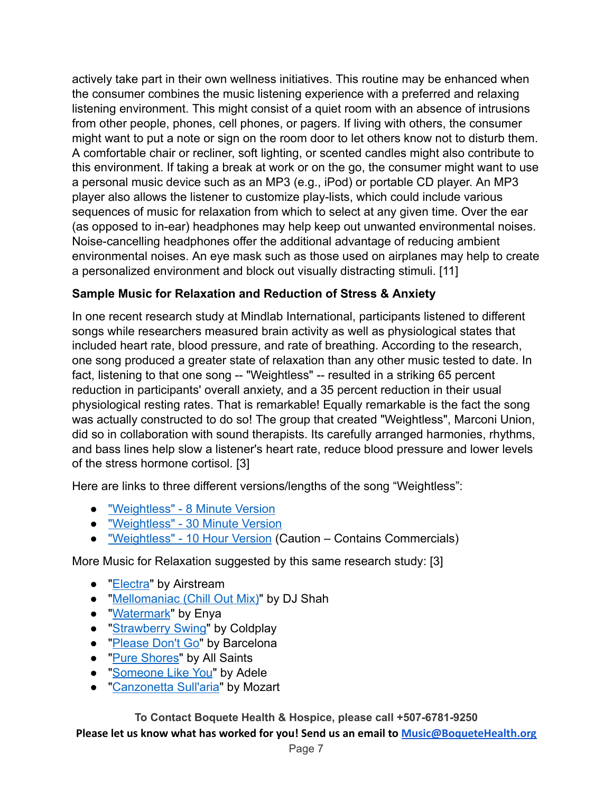actively take part in their own wellness initiatives. This routine may be enhanced when the consumer combines the music listening experience with a preferred and relaxing listening environment. This might consist of a quiet room with an absence of intrusions from other people, phones, cell phones, or pagers. If living with others, the consumer might want to put a note or sign on the room door to let others know not to disturb them. A comfortable chair or recliner, soft lighting, or scented candles might also contribute to this environment. If taking a break at work or on the go, the consumer might want to use a personal music device such as an MP3 (e.g., iPod) or portable CD player. An MP3 player also allows the listener to customize play-lists, which could include various sequences of music for relaxation from which to select at any given time. Over the ear (as opposed to in-ear) headphones may help keep out unwanted environmental noises. Noise-cancelling headphones offer the additional advantage of reducing ambient environmental noises. An eye mask such as those used on airplanes may help to create a personalized environment and block out visually distracting stimuli. [11]

## **Sample Music for Relaxation and Reduction of Stress & Anxiety**

In one recent research study at Mindlab International, participants listened to different songs while researchers measured brain activity as well as physiological states that included heart rate, blood pressure, and rate of breathing. According to the research, one song produced a greater state of relaxation than any other music tested to date. In fact, listening to that one song -- "Weightless" -- resulted in a striking 65 percent reduction in participants' overall anxiety, and a 35 percent reduction in their usual physiological resting rates. That is remarkable! Equally remarkable is the fact the song was actually constructed to do so! The group that created "Weightless", Marconi Union, did so in collaboration with sound therapists. Its carefully arranged harmonies, rhythms, and bass lines help slow a listener's heart rate, reduce blood pressure and lower levels of the stress hormone cortisol. [3]

Here are links to three different versions/lengths of the song "Weightless":

- ["Weightless" 8 Minute Version](https://www.youtube.com/watch?v=UfcAVejslrU)
- ["Weightless" 30 Minute Version](https://www.youtube.com/watch?v=sYoqCJNPxv4)
- ["Weightless" 10 Hour Version](https://www.youtube.com/watch?v=qYnA9wWFHLI) (Caution Contains Commercials)

More Music for Relaxation suggested by this same research study: [3]

- ["Electra](https://www.youtube.com/watch?v=FTvZ8a2gHFc)" by Airstream
- ["Mellomaniac \(Chill Out Mix\)"](https://www.youtube.com/watch?v=EcRXlM6edrM) by DJ Shah
- ["Watermark](https://www.youtube.com/watch?v=NO5tb20qQnA)" by Enya
- ["Strawberry Swing](https://www.youtube.com/watch?v=isH1yy8I_dc)" by Coldplay
- ["Please Don't Go"](https://www.youtube.com/watch?v=COqx-TCxrSk) by Barcelona
- ["Pure Shores"](https://www.youtube.com/watch?v=dVNdTXEJv1A) by All Saints
- ["Someone Like You](https://www.youtube.com/watch?v=NAc83CF8Ejk)" by Adele
- ["Canzonetta Sull'aria](https://www.youtube.com/watch?v=Fc3fmSSUwck)" by Mozart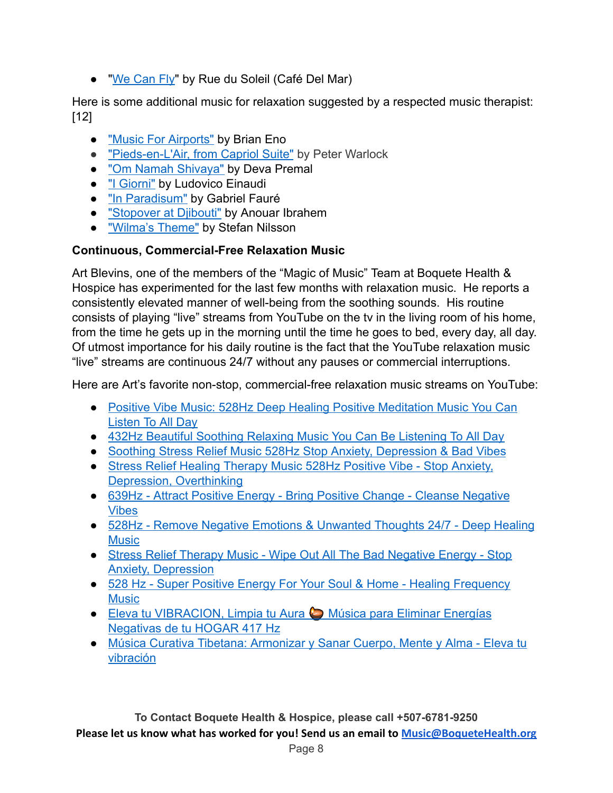● ["We Can Fly"](https://www.youtube.com/watch?v=rbzuesSeDmQ) by Rue du Soleil (Café Del Mar)

Here is some additional music for relaxation suggested by a respected music therapist: [12]

- ["Music For Airports"](https://www.youtube.com/watch?v=vNwYtllyt3Q) by Brian Eno
- ["Pieds-en-L'Air, from Capriol Suite"](https://www.youtube.com/watch?v=ZMyS1G8NWnY) by Peter Warlock
- ["Om Namah Shivaya"](https://www.youtube.com/watch?v=eUqe31ojZBU) by Deva Premal
- ["I Giorni"](https://www.youtube.com/watch?v=Uffjii1hXzU) by Ludovico Einaudi
- ["In Paradisum"](https://www.youtube.com/watch?v=6-i1ESIRKdA) by Gabriel Fauré
- ["Stopover at Djibouti"](https://www.youtube.com/watch?v=c2S8LpvZrnQ) by Anouar Ibrahem
- **Wilma's Theme"** by Stefan Nilsson

## **Continuous, Commercial-Free Relaxation Music**

Art Blevins, one of the members of the "Magic of Music" Team at Boquete Health & Hospice has experimented for the last few months with relaxation music. He reports a consistently elevated manner of well-being from the soothing sounds. His routine consists of playing "live" streams from YouTube on the tv in the living room of his home, from the time he gets up in the morning until the time he goes to bed, every day, all day. Of utmost importance for his daily routine is the fact that the YouTube relaxation music "live" streams are continuous 24/7 without any pauses or commercial interruptions.

Here are Art's favorite non-stop, commercial-free relaxation music streams on YouTube:

- [Positive Vibe Music: 528Hz Deep Healing Positive Meditation Music You Can](https://www.youtube.com/watch?v=MGhl6ymKNyw) [Listen To All Day](https://www.youtube.com/watch?v=MGhl6ymKNyw)
- [432Hz Beautiful Soothing Relaxing Music You Can Be Listening To All Day](https://www.youtube.com/watch?v=Gs6O8l20NQ4)
- [Soothing Stress Relief Music 528Hz Stop Anxiety, Depression & Bad Vibes](https://www.youtube.com/watch?v=k9FzswlTtY0)
- [Stress Relief Healing Therapy Music 528Hz Positive Vibe Stop Anxiety,](https://www.youtube.com/watch?v=p-7KHufWYVQ) [Depression, Overthinking](https://www.youtube.com/watch?v=p-7KHufWYVQ)
- [639Hz Attract Positive Energy Bring Positive Change Cleanse Negative](https://www.youtube.com/watch?v=TtRZrvrEMko) [Vibes](https://www.youtube.com/watch?v=TtRZrvrEMko)
- [528Hz Remove Negative Emotions & Unwanted Thoughts 24/7 Deep Healing](https://www.youtube.com/watch?v=Kc8gFiXTWic) **[Music](https://www.youtube.com/watch?v=Kc8gFiXTWic)**
- [Stress Relief Therapy Music Wipe Out All The Bad Negative Energy Stop](https://www.youtube.com/watch?v=xsooATRTNMo) [Anxiety, Depression](https://www.youtube.com/watch?v=xsooATRTNMo)
- [528 Hz Super Positive Energy For Your Soul & Home Healing Frequency](https://www.youtube.com/watch?v=I-7EyxcauBw) **[Music](https://www.youtube.com/watch?v=I-7EyxcauBw)**
- [Eleva tu VIBRACION, Limpia tu Aura](https://www.youtube.com/watch?v=cEZjUiY-UsE) ⊘ Música para Eliminar Energías [Negativas de tu HOGAR 417 Hz](https://www.youtube.com/watch?v=cEZjUiY-UsE)
- [Música Curativa Tibetana: Armonizar y Sanar Cuerpo, Mente y Alma Eleva tu](https://www.youtube.com/watch?v=2IhczhYDGbo) [vibración](https://www.youtube.com/watch?v=2IhczhYDGbo)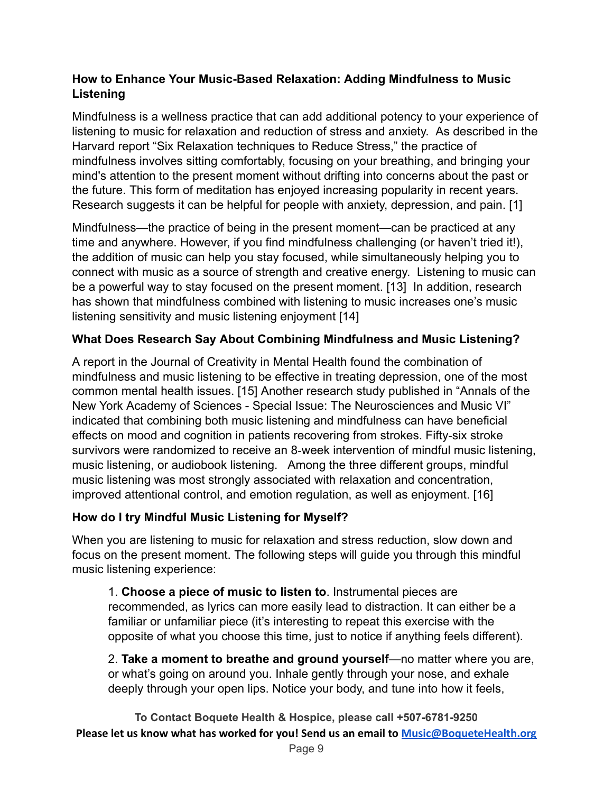#### **How to Enhance Your Music-Based Relaxation: Adding Mindfulness to Music Listening**

Mindfulness is a wellness practice that can add additional potency to your experience of listening to music for relaxation and reduction of stress and anxiety. As described in the Harvard report "Six Relaxation techniques to Reduce Stress," the practice of mindfulness involves sitting comfortably, focusing on your breathing, and bringing your mind's attention to the present moment without drifting into concerns about the past or the future. This form of meditation has enjoyed increasing popularity in recent years. Research suggests it can be helpful for people with anxiety, depression, and pain. [1]

Mindfulness—the practice of being in the present moment—can be practiced at any time and anywhere. However, if you find mindfulness challenging (or haven't tried it!), the addition of music can help you stay focused, while simultaneously helping you to connect with music as a source of strength and creative energy. Listening to music can be a powerful way to stay focused on the present moment. [13] In addition, research has shown that mindfulness combined with listening to music increases one's music listening sensitivity and music listening enjoyment [14]

## **What Does Research Say About Combining Mindfulness and Music Listening?**

A report in the Journal of Creativity in Mental Health found the combination of mindfulness and music listening to be effective in treating depression, one of the most common mental health issues. [15] Another research study published in "Annals of the New York Academy of Sciences - Special Issue: The Neurosciences and Music VI" indicated that combining both music listening and mindfulness can have beneficial effects on mood and cognition in patients recovering from strokes. Fifty‐six stroke survivors were randomized to receive an 8‐week intervention of mindful music listening, music listening, or audiobook listening. Among the three different groups, mindful music listening was most strongly associated with relaxation and concentration, improved attentional control, and emotion regulation, as well as enjoyment. [16]

#### **How do I try Mindful Music Listening for Myself?**

When you are listening to music for relaxation and stress reduction, slow down and focus on the present moment. The following steps will guide you through this mindful music listening experience:

1. **Choose a piece of music to listen to**. Instrumental pieces are recommended, as lyrics can more easily lead to distraction. It can either be a familiar or unfamiliar piece (it's interesting to repeat this exercise with the opposite of what you choose this time, just to notice if anything feels different).

2. **Take a moment to breathe and ground yourself**—no matter where you are, or what's going on around you. Inhale gently through your nose, and exhale deeply through your open lips. Notice your body, and tune into how it feels,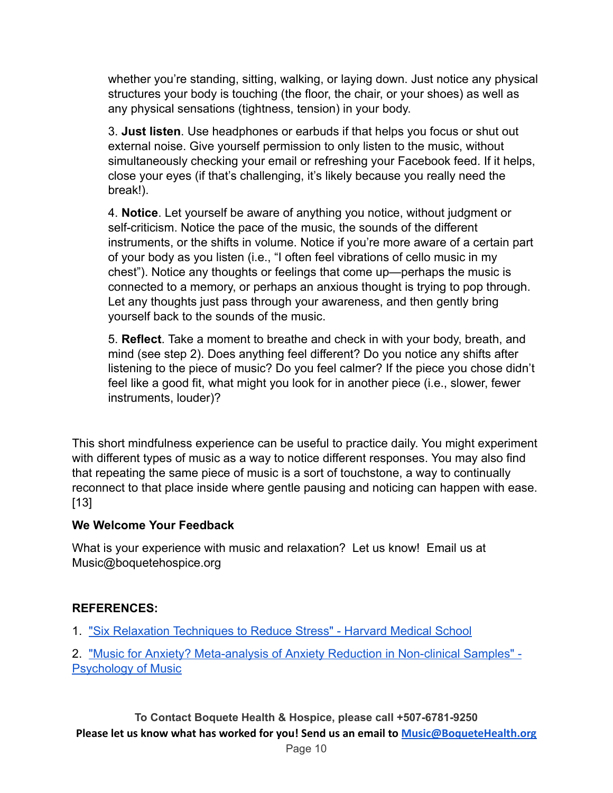whether you're standing, sitting, walking, or laying down. Just notice any physical structures your body is touching (the floor, the chair, or your shoes) as well as any physical sensations (tightness, tension) in your body.

3. **Just listen**. Use headphones or earbuds if that helps you focus or shut out external noise. Give yourself permission to only listen to the music, without simultaneously checking your email or refreshing your Facebook feed. If it helps, close your eyes (if that's challenging, it's likely because you really need the break!).

4. **Notice**. Let yourself be aware of anything you notice, without judgment or self-criticism. Notice the pace of the music, the sounds of the different instruments, or the shifts in volume. Notice if you're more aware of a certain part of your body as you listen (i.e., "I often feel vibrations of cello music in my chest"). Notice any thoughts or feelings that come up—perhaps the music is connected to a memory, or perhaps an anxious thought is trying to pop through. Let any thoughts just pass through your awareness, and then gently bring yourself back to the sounds of the music.

5. **Reflect**. Take a moment to breathe and check in with your body, breath, and mind (see step 2). Does anything feel different? Do you notice any shifts after listening to the piece of music? Do you feel calmer? If the piece you chose didn't feel like a good fit, what might you look for in another piece (i.e., slower, fewer instruments, louder)?

This short mindfulness experience can be useful to practice daily. You might experiment with different types of music as a way to notice different responses. You may also find that repeating the same piece of music is a sort of touchstone, a way to continually reconnect to that place inside where gentle pausing and noticing can happen with ease. [13]

#### **We Welcome Your Feedback**

What is your experience with music and relaxation? Let us know! Email us at Music@boquetehospice.org

#### **REFERENCES:**

1. ["Six Relaxation Techniques to Reduce Stress" -](https://www.health.harvard.edu/mind-and-mood/six-relaxation-techniques-to-reduce-stress) Harvard Medical School

2. ["Music for Anxiety? Meta-analysis of Anxiety Reduction](https://journals.sagepub.com/doi/abs/10.1177/0305735617712424?journalCode=poma) in Non-clinical Samples" - [Psychology of Music](https://journals.sagepub.com/doi/abs/10.1177/0305735617712424?journalCode=poma)